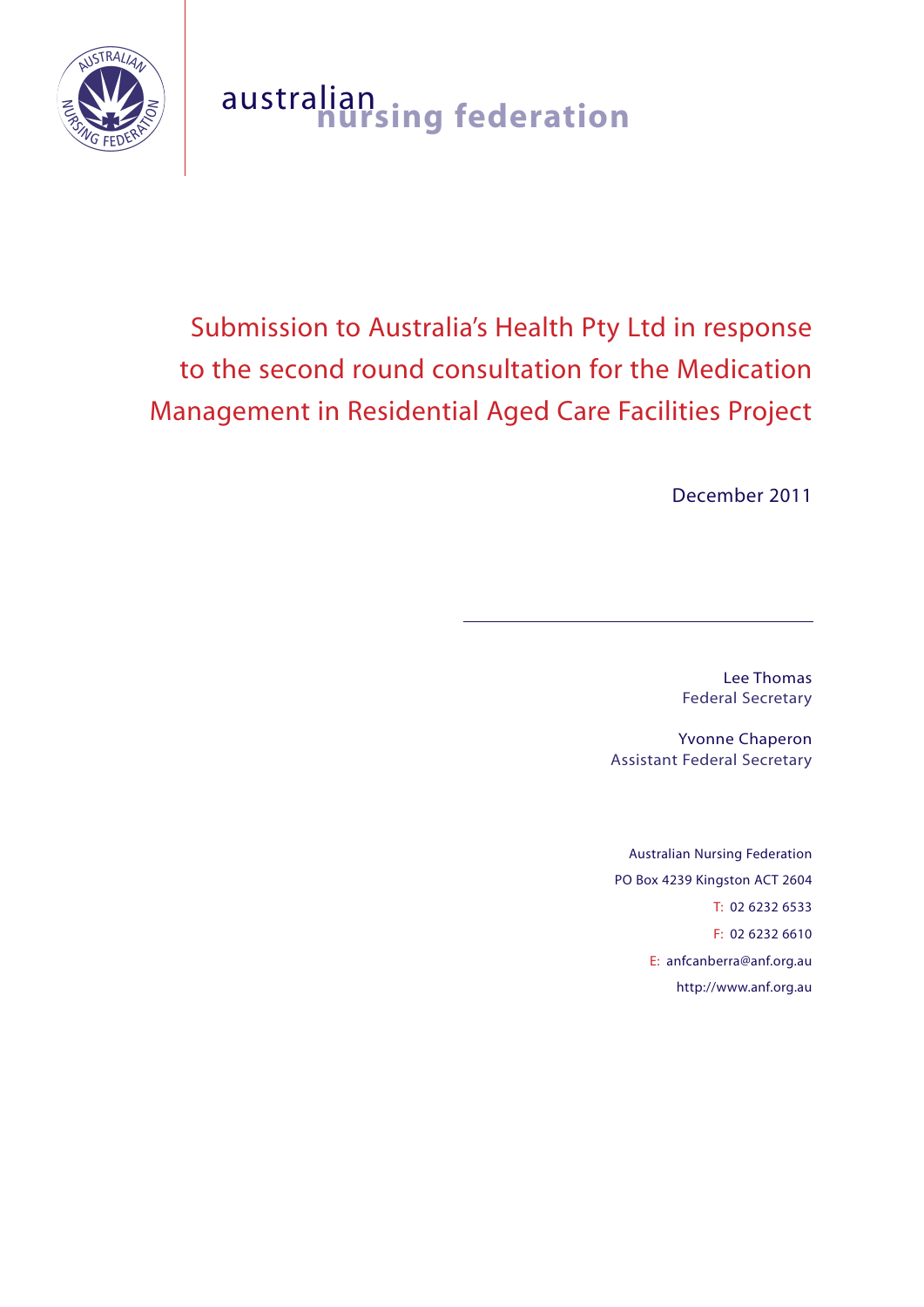

# australian **nursing federation**

# Submission to Australia's Health Pty Ltd in response to the second round consultation for the Medication Management in Residential Aged Care Facilities Project

December 2011

Lee Thomas Federal Secretary

Yvonne Chaperon Assistant Federal Secretary

Australian Nursing Federation PO Box 4239 Kingston ACT 2604 T: 02 6232 6533 F: 02 6232 6610 E: anfcanberra@anf.org.au http://www.anf.org.au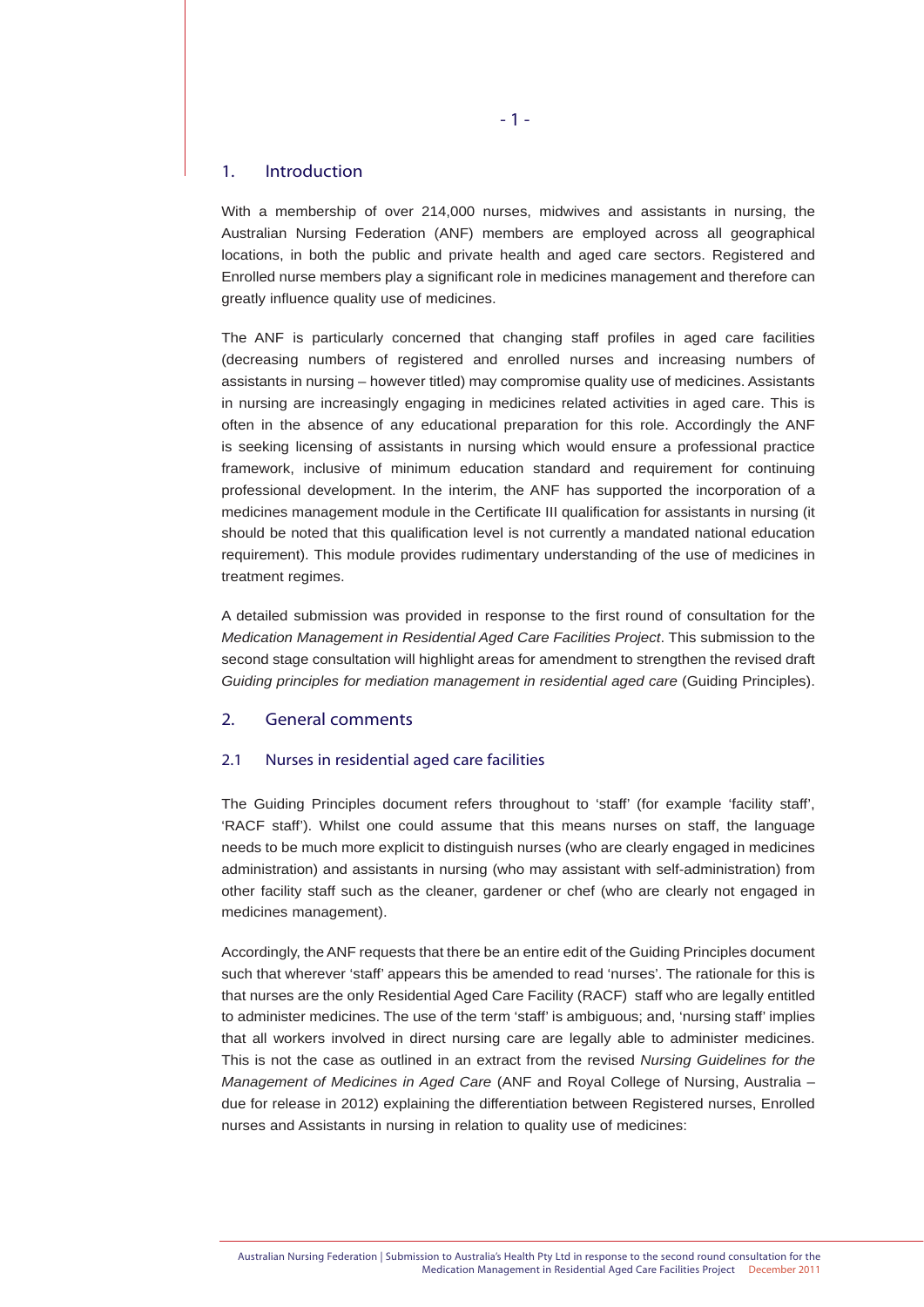# 1. Introduction

With a membership of over 214,000 nurses, midwives and assistants in nursing, the Australian Nursing Federation (ANF) members are employed across all geographical locations, in both the public and private health and aged care sectors. Registered and Enrolled nurse members play a significant role in medicines management and therefore can greatly influence quality use of medicines.

The ANF is particularly concerned that changing staff profiles in aged care facilities (decreasing numbers of registered and enrolled nurses and increasing numbers of assistants in nursing – however titled) may compromise quality use of medicines. Assistants in nursing are increasingly engaging in medicines related activities in aged care. This is often in the absence of any educational preparation for this role. Accordingly the ANF is seeking licensing of assistants in nursing which would ensure a professional practice framework, inclusive of minimum education standard and requirement for continuing professional development. In the interim, the ANF has supported the incorporation of a medicines management module in the Certificate III qualification for assistants in nursing (it should be noted that this qualification level is not currently a mandated national education requirement). This module provides rudimentary understanding of the use of medicines in treatment regimes.

A detailed submission was provided in response to the first round of consultation for the *Medication Management in Residential Aged Care Facilities Project*. This submission to the second stage consultation will highlight areas for amendment to strengthen the revised draft Guiding principles for mediation management in residential aged care (Guiding Principles).

# 2. General comments

# 2.1 Nurses in residential aged care facilities

The Guiding Principles document refers throughout to 'staff' (for example 'facility staff', 'RACF staff'). Whilst one could assume that this means nurses on staff, the language needs to be much more explicit to distinguish nurses (who are clearly engaged in medicines administration) and assistants in nursing (who may assistant with self-administration) from other facility staff such as the cleaner, gardener or chef (who are clearly not engaged in medicines management).

Accordingly, the ANF requests that there be an entire edit of the Guiding Principles document such that wherever 'staff' appears this be amended to read 'nurses'. The rationale for this is that nurses are the only Residential Aged Care Facility (RACF) staff who are legally entitled to administer medicines. The use of the term 'staff' is ambiguous; and, 'nursing staff' implies that all workers involved in direct nursing care are legally able to administer medicines. This is not the case as outlined in an extract from the revised *Nursing Guidelines for the Management of Medicines in Aged Care* (ANF and Royal College of Nursing, Australia – due for release in 2012) explaining the differentiation between Registered nurses, Enrolled nurses and Assistants in nursing in relation to quality use of medicines: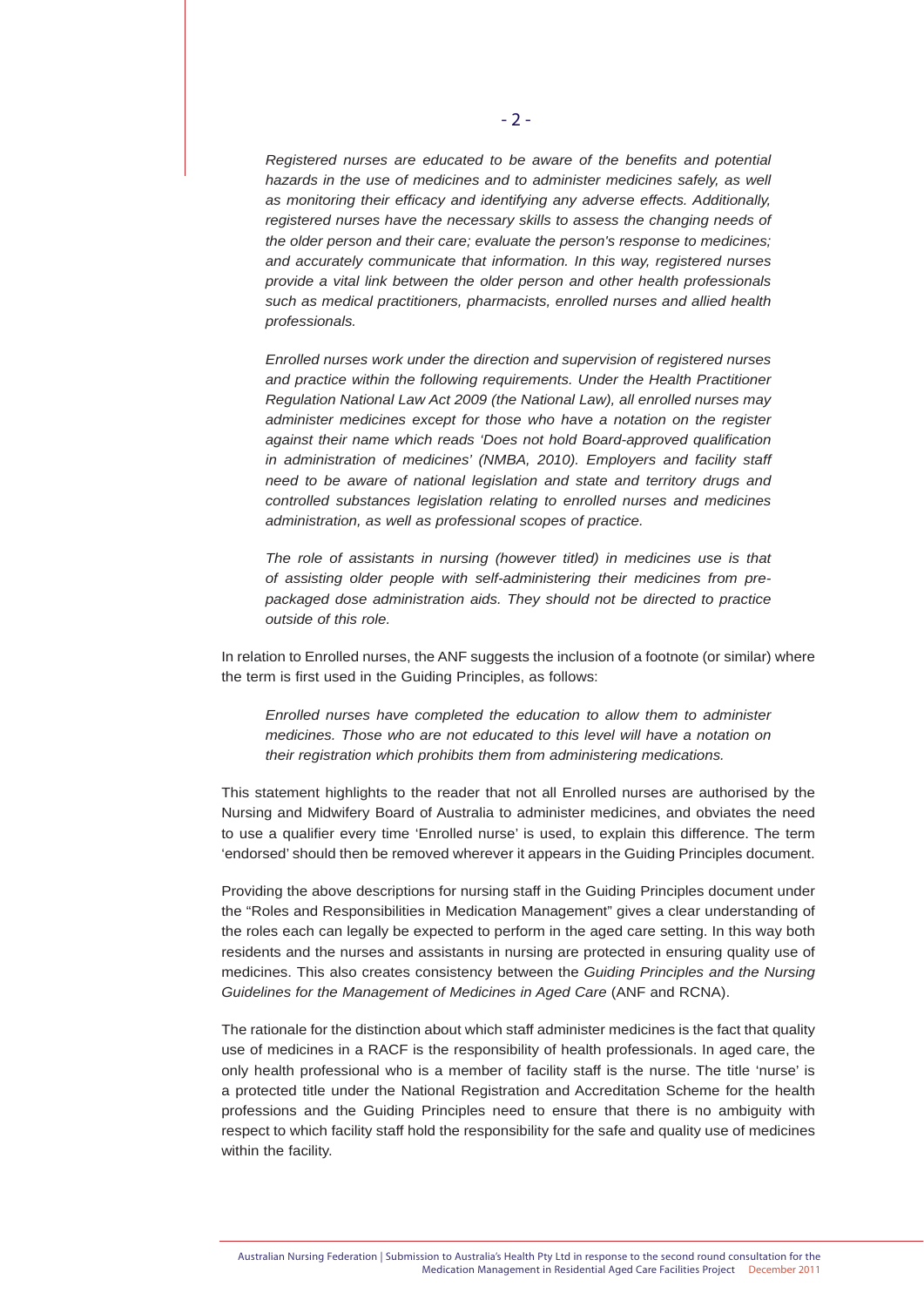*Registered nurses are educated to be aware of the benefits and potential*  hazards in the use of medicines and to administer medicines safely, as well *as monitoring their efficacy and identifying any adverse effects. Additionally, registered nurses have the necessary skills to assess the changing needs of the older person and their care; evaluate the person's response to medicines; and accurately communicate that information. In this way, registered nurses provide a vital link between the older person and other health professionals such as medical practitioners, pharmacists, enrolled nurses and allied health professionals.* 

*Enrolled nurses work under the direction and supervision of registered nurses and practice within the following requirements. Under the Health Practitioner Regulation National Law Act 2009 (the National Law), all enrolled nurses may administer medicines except for those who have a notation on the register against their name which reads 'Does not hold Board-approved qualification in administration of medicines' (NMBA, 2010). Employers and facility staff need to be aware of national legislation and state and territory drugs and controlled substances legislation relating to enrolled nurses and medicines administration, as well as professional scopes of practice.* 

*The role of assistants in nursing (however titled) in medicines use is that of assisting older people with self-administering their medicines from prepackaged dose administration aids. They should not be directed to practice outside of this role.*

In relation to Enrolled nurses, the ANF suggests the inclusion of a footnote (or similar) where the term is first used in the Guiding Principles, as follows:

*Enrolled nurses have completed the education to allow them to administer medicines. Those who are not educated to this level will have a notation on their registration which prohibits them from administering medications.*

This statement highlights to the reader that not all Enrolled nurses are authorised by the Nursing and Midwifery Board of Australia to administer medicines, and obviates the need to use a qualifier every time 'Enrolled nurse' is used, to explain this difference. The term 'endorsed' should then be removed wherever it appears in the Guiding Principles document.

Providing the above descriptions for nursing staff in the Guiding Principles document under the "Roles and Responsibilities in Medication Management" gives a clear understanding of the roles each can legally be expected to perform in the aged care setting. In this way both residents and the nurses and assistants in nursing are protected in ensuring quality use of medicines. This also creates consistency between the *Guiding Principles and the Nursing Guidelines for the Management of Medicines in Aged Care* (ANF and RCNA).

The rationale for the distinction about which staff administer medicines is the fact that quality use of medicines in a RACF is the responsibility of health professionals. In aged care, the only health professional who is a member of facility staff is the nurse. The title 'nurse' is a protected title under the National Registration and Accreditation Scheme for the health professions and the Guiding Principles need to ensure that there is no ambiguity with respect to which facility staff hold the responsibility for the safe and quality use of medicines within the facility.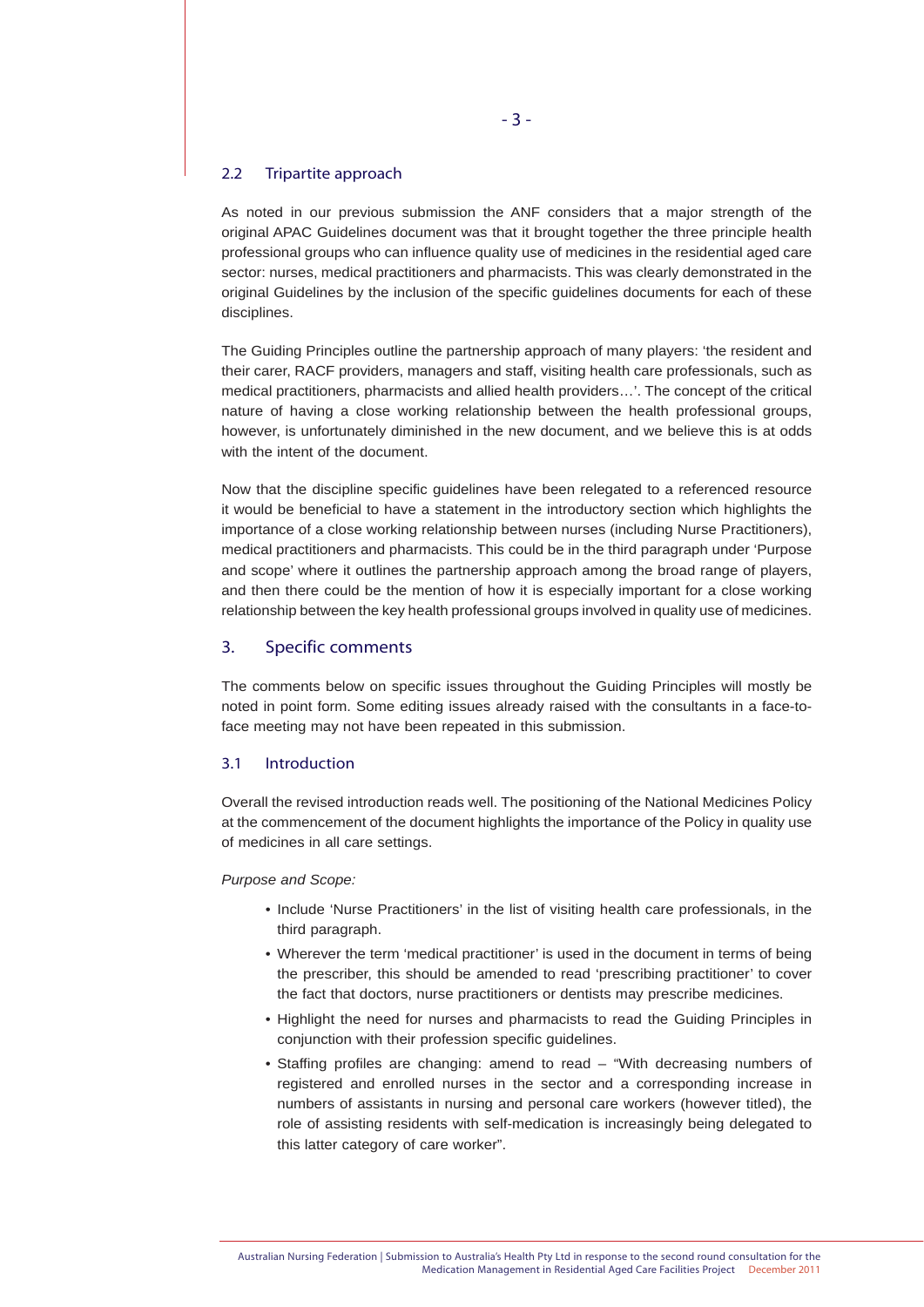# 2.2 Tripartite approach

As noted in our previous submission the ANF considers that a major strength of the original APAC Guidelines document was that it brought together the three principle health professional groups who can influence quality use of medicines in the residential aged care sector: nurses, medical practitioners and pharmacists. This was clearly demonstrated in the original Guidelines by the inclusion of the specific guidelines documents for each of these disciplines.

The Guiding Principles outline the partnership approach of many players: 'the resident and their carer, RACF providers, managers and staff, visiting health care professionals, such as medical practitioners, pharmacists and allied health providers…'. The concept of the critical nature of having a close working relationship between the health professional groups, however, is unfortunately diminished in the new document, and we believe this is at odds with the intent of the document.

Now that the discipline specific guidelines have been relegated to a referenced resource it would be beneficial to have a statement in the introductory section which highlights the importance of a close working relationship between nurses (including Nurse Practitioners), medical practitioners and pharmacists. This could be in the third paragraph under 'Purpose and scope' where it outlines the partnership approach among the broad range of players, and then there could be the mention of how it is especially important for a close working relationship between the key health professional groups involved in quality use of medicines.

# 3. Specific comments

The comments below on specific issues throughout the Guiding Principles will mostly be noted in point form. Some editing issues already raised with the consultants in a face-toface meeting may not have been repeated in this submission.

# 3.1 Introduction

Overall the revised introduction reads well. The positioning of the National Medicines Policy at the commencement of the document highlights the importance of the Policy in quality use of medicines in all care settings.

#### *Purpose and Scope:*

- Include 'Nurse Practitioners' in the list of visiting health care professionals, in the third paragraph.
- Wherever the term 'medical practitioner' is used in the document in terms of being the prescriber, this should be amended to read 'prescribing practitioner' to cover the fact that doctors, nurse practitioners or dentists may prescribe medicines.
- Highlight the need for nurses and pharmacists to read the Guiding Principles in conjunction with their profession specific guidelines.
- Staffing profiles are changing: amend to read "With decreasing numbers of registered and enrolled nurses in the sector and a corresponding increase in numbers of assistants in nursing and personal care workers (however titled), the role of assisting residents with self-medication is increasingly being delegated to this latter category of care worker".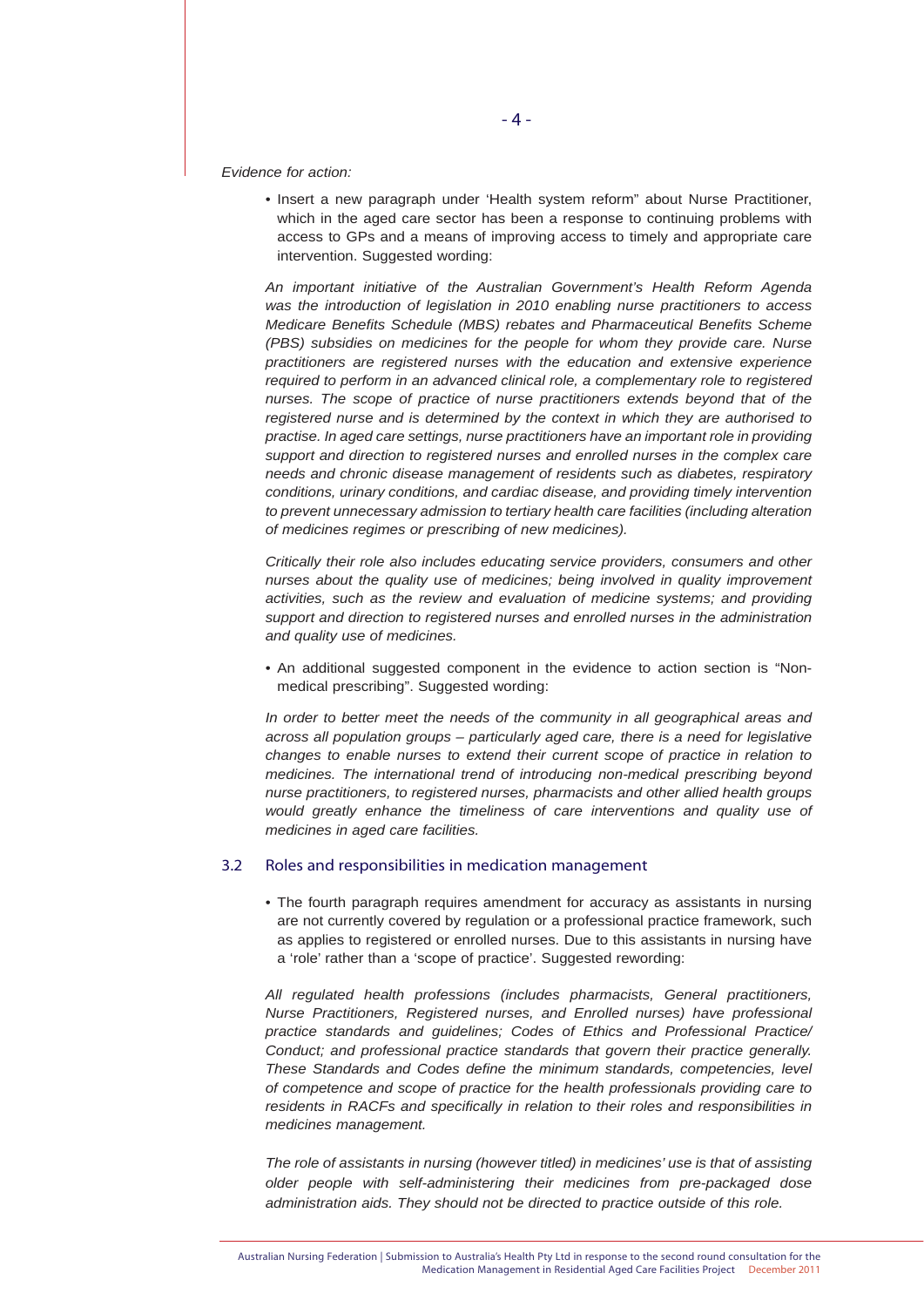*Evidence for action:*

 • Insert a new paragraph under 'Health system reform" about Nurse Practitioner, which in the aged care sector has been a response to continuing problems with access to GPs and a means of improving access to timely and appropriate care intervention. Suggested wording:

*An important initiative of the Australian Government's Health Reform Agenda was the introduction of legislation in 2010 enabling nurse practitioners to access Medicare Benefits Schedule (MBS) rebates and Pharmaceutical Benefits Scheme (PBS) subsidies on medicines for the people for whom they provide care. Nurse practitioners are registered nurses with the education and extensive experience required to perform in an advanced clinical role, a complementary role to registered nurses. The scope of practice of nurse practitioners extends beyond that of the registered nurse and is determined by the context in which they are authorised to practise. In aged care settings, nurse practitioners have an important role in providing support and direction to registered nurses and enrolled nurses in the complex care needs and chronic disease management of residents such as diabetes, respiratory conditions, urinary conditions, and cardiac disease, and providing timely intervention to prevent unnecessary admission to tertiary health care facilities (including alteration of medicines regimes or prescribing of new medicines).* 

*Critically their role also includes educating service providers, consumers and other nurses about the quality use of medicines; being involved in quality improvement activities, such as the review and evaluation of medicine systems; and providing support and direction to registered nurses and enrolled nurses in the administration and quality use of medicines.*

 • An additional suggested component in the evidence to action section is "Non medical prescribing". Suggested wording:

*In order to better meet the needs of the community in all geographical areas and across all population groups – particularly aged care, there is a need for legislative changes to enable nurses to extend their current scope of practice in relation to medicines. The international trend of introducing non-medical prescribing beyond nurse practitioners, to registered nurses, pharmacists and other allied health groups would greatly enhance the timeliness of care interventions and quality use of medicines in aged care facilities.* 

#### 3.2 Roles and responsibilities in medication management

 • The fourth paragraph requires amendment for accuracy as assistants in nursing are not currently covered by regulation or a professional practice framework, such as applies to registered or enrolled nurses. Due to this assistants in nursing have a 'role' rather than a 'scope of practice'. Suggested rewording:

*All regulated health professions (includes pharmacists, General practitioners, Nurse Practitioners, Registered nurses, and Enrolled nurses) have professional practice standards and guidelines; Codes of Ethics and Professional Practice/ Conduct; and professional practice standards that govern their practice generally. These Standards and Codes define the minimum standards, competencies, level of competence and scope of practice for the health professionals providing care to residents in RACFs and specifically in relation to their roles and responsibilities in medicines management.*

*The role of assistants in nursing (however titled) in medicines' use is that of assisting older people with self-administering their medicines from pre-packaged dose administration aids. They should not be directed to practice outside of this role.*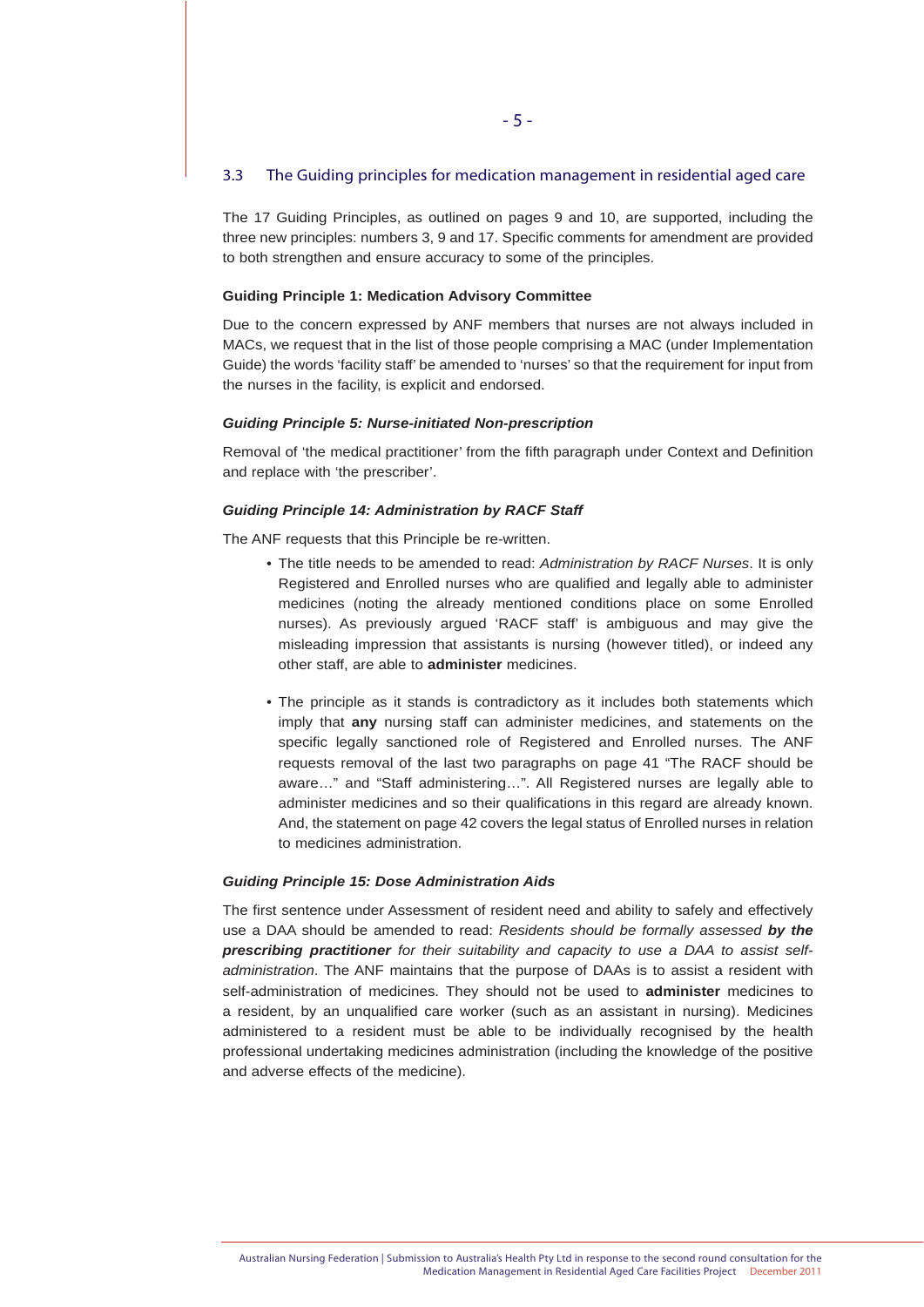# 3.3 The Guiding principles for medication management in residential aged care

The 17 Guiding Principles, as outlined on pages 9 and 10, are supported, including the three new principles: numbers 3, 9 and 17. Specific comments for amendment are provided to both strengthen and ensure accuracy to some of the principles.

## **Guiding Principle 1: Medication Advisory Committee**

Due to the concern expressed by ANF members that nurses are not always included in MACs, we request that in the list of those people comprising a MAC (under Implementation Guide) the words 'facility staff' be amended to 'nurses' so that the requirement for input from the nurses in the facility, is explicit and endorsed.

#### *Guiding Principle 5: Nurse-initiated Non-prescription*

Removal of 'the medical practitioner' from the fifth paragraph under Context and Definition and replace with 'the prescriber'.

#### *Guiding Principle 14: Administration by RACF Staff*

The ANF requests that this Principle be re-written.

- The title needs to be amended to read: *Administration by RACF Nurses*. It is only Registered and Enrolled nurses who are qualified and legally able to administer medicines (noting the already mentioned conditions place on some Enrolled nurses). As previously argued 'RACF staff' is ambiguous and may give the misleading impression that assistants is nursing (however titled), or indeed any other staff, are able to **administer** medicines.
- The principle as it stands is contradictory as it includes both statements which imply that **any** nursing staff can administer medicines, and statements on the specific legally sanctioned role of Registered and Enrolled nurses. The ANF requests removal of the last two paragraphs on page 41 "The RACF should be aware…" and "Staff administering…". All Registered nurses are legally able to administer medicines and so their qualifications in this regard are already known. And, the statement on page 42 covers the legal status of Enrolled nurses in relation to medicines administration.

#### *Guiding Principle 15: Dose Administration Aids*

The first sentence under Assessment of resident need and ability to safely and effectively use a DAA should be amended to read: *Residents should be formally assessed by the prescribing practitioner for their suitability and capacity to use a DAA to assist selfadministration*. The ANF maintains that the purpose of DAAs is to assist a resident with self-administration of medicines. They should not be used to **administer** medicines to a resident, by an unqualified care worker (such as an assistant in nursing). Medicines administered to a resident must be able to be individually recognised by the health professional undertaking medicines administration (including the knowledge of the positive and adverse effects of the medicine).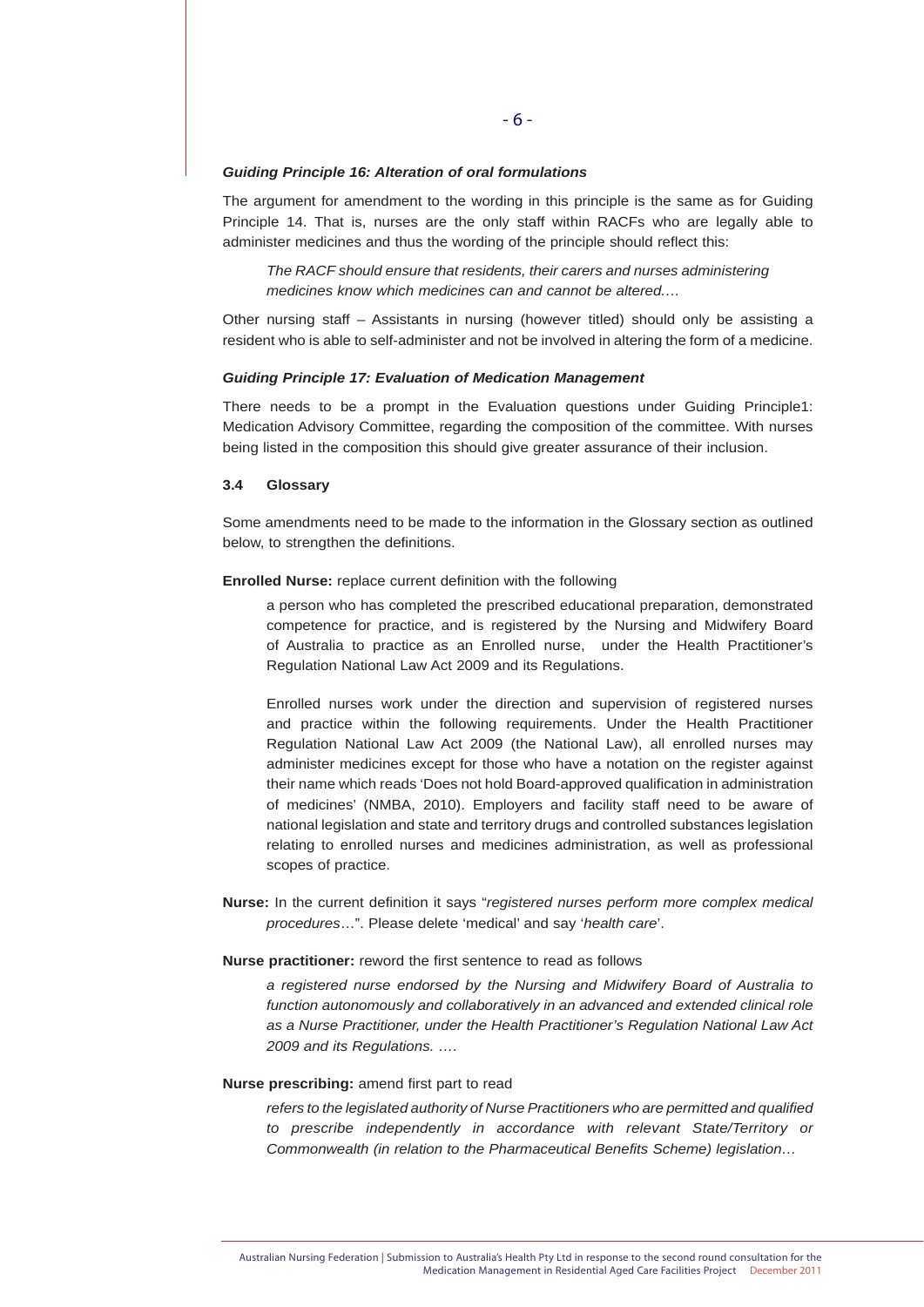#### *Guiding Principle 16: Alteration of oral formulations*

The argument for amendment to the wording in this principle is the same as for Guiding Principle 14. That is, nurses are the only staff within RACFs who are legally able to administer medicines and thus the wording of the principle should reflect this:

*The RACF should ensure that residents, their carers and nurses administering medicines know which medicines can and cannot be altered.…*

Other nursing staff – Assistants in nursing (however titled) should only be assisting a resident who is able to self-administer and not be involved in altering the form of a medicine.

#### *Guiding Principle 17: Evaluation of Medication Management*

There needs to be a prompt in the Evaluation questions under Guiding Principle1: Medication Advisory Committee, regarding the composition of the committee. With nurses being listed in the composition this should give greater assurance of their inclusion.

# **3.4 Glossary**

Some amendments need to be made to the information in the Glossary section as outlined below, to strengthen the definitions.

#### **Enrolled Nurse:** replace current definition with the following

 a person who has completed the prescribed educational preparation, demonstrated competence for practice, and is registered by the Nursing and Midwifery Board of Australia to practice as an Enrolled nurse, under the Health Practitioner's Regulation National Law Act 2009 and its Regulations.

 Enrolled nurses work under the direction and supervision of registered nurses and practice within the following requirements. Under the Health Practitioner Regulation National Law Act 2009 (the National Law), all enrolled nurses may administer medicines except for those who have a notation on the register against their name which reads 'Does not hold Board-approved qualification in administration of medicines' (NMBA, 2010). Employers and facility staff need to be aware of national legislation and state and territory drugs and controlled substances legislation relating to enrolled nurses and medicines administration, as well as professional scopes of practice.

**Nurse:** In the current definition it says "*registered nurses perform more complex medical procedures*…". Please delete 'medical' and say '*health care*'.

#### **Nurse practitioner:** reword the first sentence to read as follows

 *a registered nurse endorsed by the Nursing and Midwifery Board of Australia to function autonomously and collaboratively in an advanced and extended clinical role as a Nurse Practitioner, under the Health Practitioner's Regulation National Law Act 2009 and its Regulations. ….*

# **Nurse prescribing:** amend first part to read

 *refers to the legislated authority of Nurse Practitioners who are permitted and qualified to prescribe independently in accordance with relevant State/Territory or Commonwealth (in relation to the Pharmaceutical Benefits Scheme) legislation…*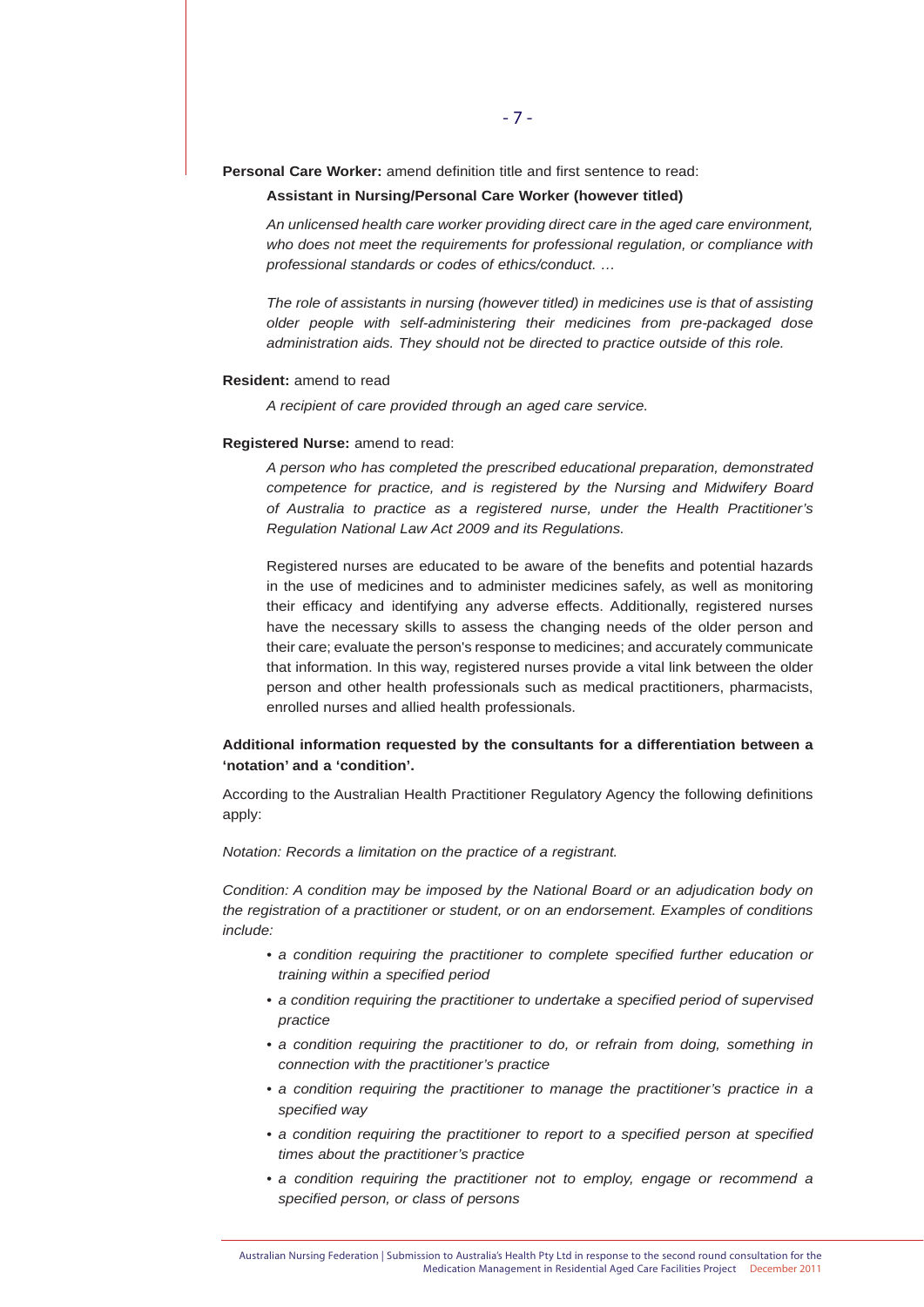**Personal Care Worker:** amend definition title and first sentence to read:

#### **Assistant in Nursing/Personal Care Worker (however titled)**

 *An unlicensed health care worker providing direct care in the aged care environment, who does not meet the requirements for professional regulation, or compliance with professional standards or codes of ethics/conduct. …*

 *The role of assistants in nursing (however titled) in medicines use is that of assisting older people with self-administering their medicines from pre-packaged dose administration aids. They should not be directed to practice outside of this role.*

#### **Resident:** amend to read

 *A recipient of care provided through an aged care service.* 

#### **Registered Nurse:** amend to read:

 *A person who has completed the prescribed educational preparation, demonstrated competence for practice, and is registered by the Nursing and Midwifery Board of Australia to practice as a registered nurse, under the Health Practitioner's Regulation National Law Act 2009 and its Regulations.*

 Registered nurses are educated to be aware of the benefits and potential hazards in the use of medicines and to administer medicines safely, as well as monitoring their efficacy and identifying any adverse effects. Additionally, registered nurses have the necessary skills to assess the changing needs of the older person and their care; evaluate the person's response to medicines; and accurately communicate that information. In this way, registered nurses provide a vital link between the older person and other health professionals such as medical practitioners, pharmacists, enrolled nurses and allied health professionals.

# **Additional information requested by the consultants for a differentiation between a 'notation' and a 'condition'.**

According to the Australian Health Practitioner Regulatory Agency the following definitions apply:

#### *Notation: Records a limitation on the practice of a registrant.*

*Condition: A condition may be imposed by the National Board or an adjudication body on the registration of a practitioner or student, or on an endorsement. Examples of conditions include:*

- *a condition requiring the practitioner to complete specified further education or training within a specified period*
- *a condition requiring the practitioner to undertake a specified period of supervised practice*
- a condition requiring the practitioner to do, or refrain from doing, something in  *connection with the practitioner's practice*
- *a condition requiring the practitioner to manage the practitioner's practice in a specified way*
- *a condition requiring the practitioner to report to a specified person at specified times about the practitioner's practice*
- *a condition requiring the practitioner not to employ, engage or recommend a specified person, or class of persons*

Australian Nursing Federation | Submission to Australia's Health Pty Ltd in response to the second round consultation for the Medication Management in Residential Aged Care Facilities Project December 2011